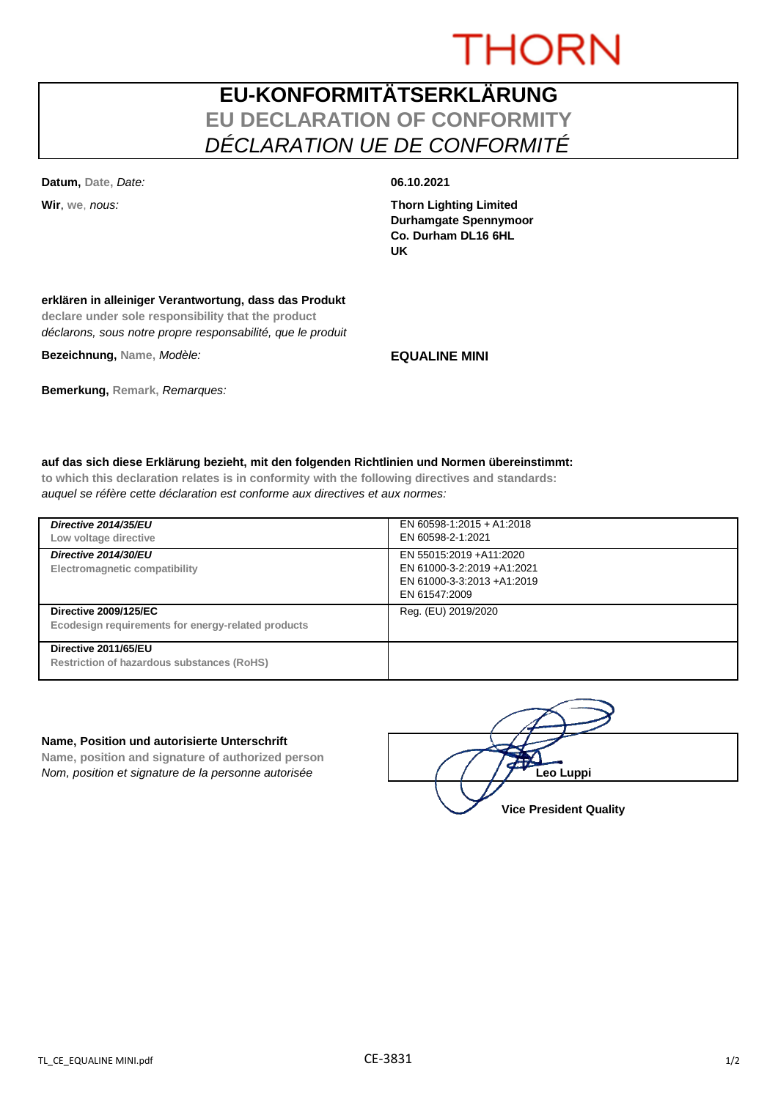# **THORN**

## **EU-KONFORMITÄTSERKLÄRUNG EU DECLARATION OF CONFORMITY** *DÉCLARATION UE DE CONFORMITÉ*

**Datum, Date,** *Date:* **06.10.2021**

**Wir**, **we**, *nous:* **Thorn Lighting Limited Durhamgate Spennymoor Co. Durham DL16 6HL UK**

## **erklären in alleiniger Verantwortung, dass das Produkt**

**declare under sole responsibility that the product** *déclarons, sous notre propre responsabilité, que le produit*

**Bezeichnung, Name,** *Modèle:* **EQUALINE MINI**

**Bemerkung, Remark,** *Remarques:*

## **auf das sich diese Erklärung bezieht, mit den folgenden Richtlinien und Normen übereinstimmt:**

**to which this declaration relates is in conformity with the following directives and standards:** *auquel se réfère cette déclaration est conforme aux directives et aux normes:*

| Directive 2014/35/EU<br>Low voltage directive                                      | EN 60598-1:2015 + A1:2018<br>EN 60598-2-1:2021                                                        |
|------------------------------------------------------------------------------------|-------------------------------------------------------------------------------------------------------|
| Directive 2014/30/EU<br>Electromagnetic compatibility                              | EN 55015:2019 + A11:2020<br>EN 61000-3-2:2019 +A1:2021<br>EN 61000-3-3:2013 +A1:2019<br>EN 61547:2009 |
| <b>Directive 2009/125/EC</b><br>Ecodesign requirements for energy-related products | Reg. (EU) 2019/2020                                                                                   |
| Directive 2011/65/EU<br><b>Restriction of hazardous substances (RoHS)</b>          |                                                                                                       |

#### **Name, Position und autorisierte Unterschrift**

**Name, position and signature of authorized person** *Nom, position et signature de la personne autorisée*  $\left( \begin{array}{cc} \end{array} \right)$   $\left( \begin{array}{cc} \end{array} \right)$ **Leo Luppi** 

**Vice President Quality**